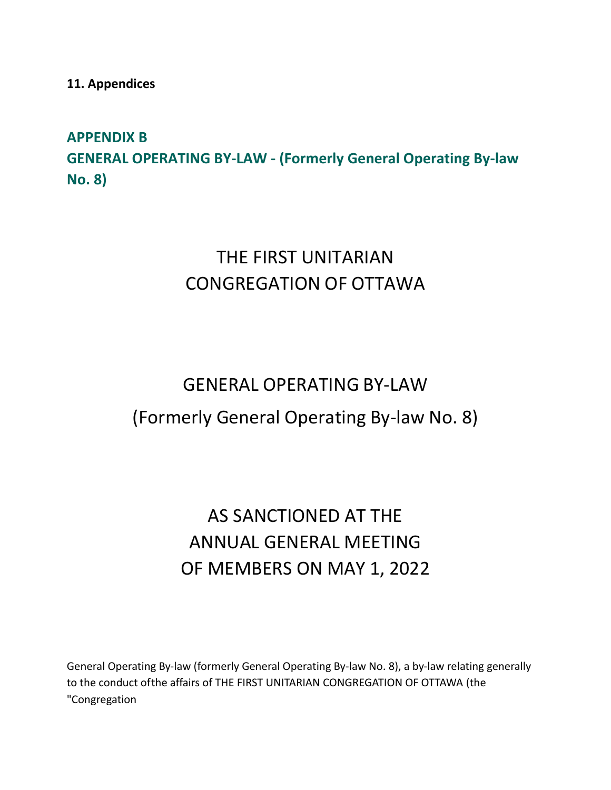**11. Appendices**

# **APPENDIX B GENERAL OPERATING BY-LAW - (Formerly General Operating By-law No. 8)**

# THE FIRST UNITARIAN CONGREGATION OF OTTAWA

# GENERAL OPERATING BY-LAW (Formerly General Operating By-law No. 8)

# AS SANCTIONED AT THE ANNUAL GENERAL MEETING OF MEMBERS ON MAY 1, 2022

General Operating By-law (formerly General Operating By-law No. 8), a by-law relating generally to the conduct ofthe affairs of THE FIRST UNITARIAN CONGREGATION OF OTTAWA (the "Congregation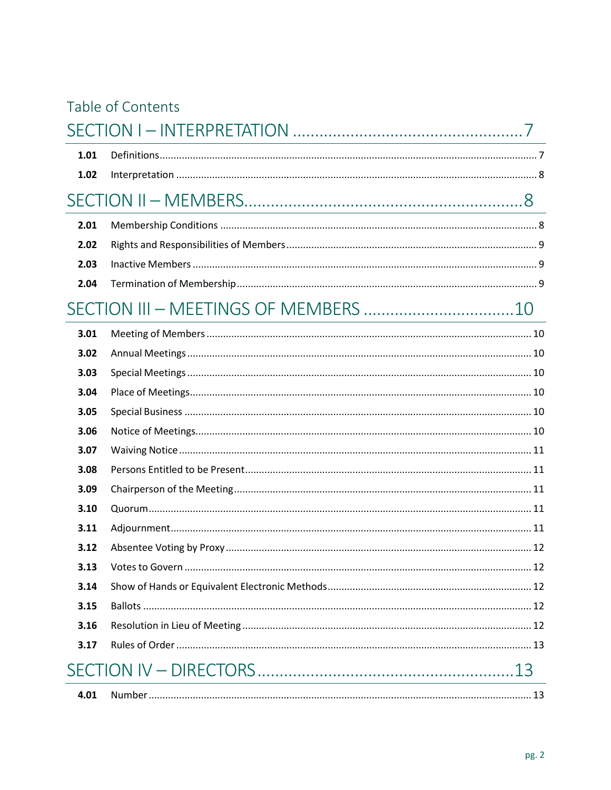|  |  |  | Table of Contents |  |
|--|--|--|-------------------|--|
|--|--|--|-------------------|--|

| 1.01 |  |
|------|--|
| 1.02 |  |
|      |  |
| 2.01 |  |
| 2.02 |  |
| 2.03 |  |
| 2.04 |  |
|      |  |
| 3.01 |  |
| 3.02 |  |
| 3.03 |  |
| 3.04 |  |
| 3.05 |  |
| 3.06 |  |
| 3.07 |  |
| 3.08 |  |
| 3.09 |  |
| 3.10 |  |
| 3.11 |  |
| 3.12 |  |
| 3.13 |  |
| 3.14 |  |
| 3.15 |  |
| 3.16 |  |
| 3.17 |  |
|      |  |
| 4.01 |  |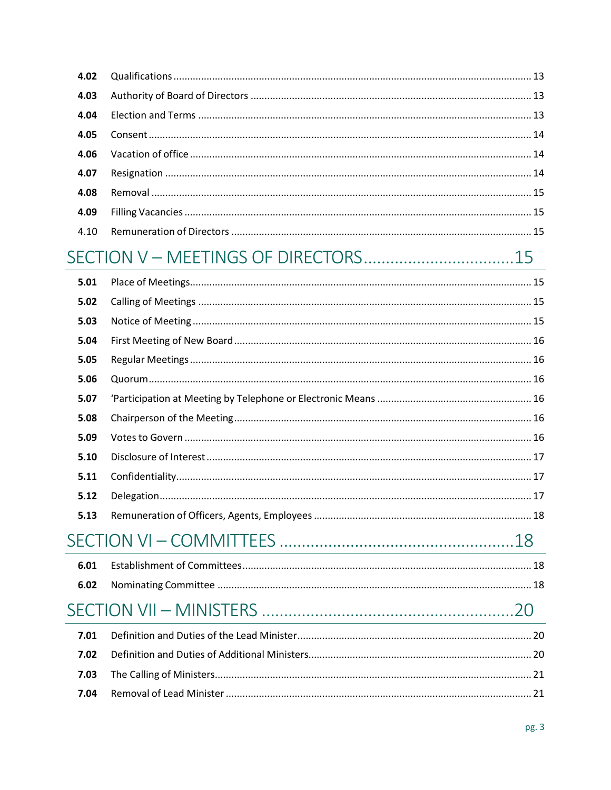| 4.09 |  |
|------|--|
|      |  |

# 

| 5.01 |  |  |
|------|--|--|
| 5.02 |  |  |
| 5.03 |  |  |
| 5.04 |  |  |
| 5.05 |  |  |
| 5.06 |  |  |
| 5.07 |  |  |
| 5.08 |  |  |
| 5.09 |  |  |
| 5.10 |  |  |
| 5.11 |  |  |
| 5.12 |  |  |
| 5.13 |  |  |
|      |  |  |
| 6.01 |  |  |
| 6.02 |  |  |
|      |  |  |
| 7.01 |  |  |
| 7.02 |  |  |
| 7.03 |  |  |
| 7.04 |  |  |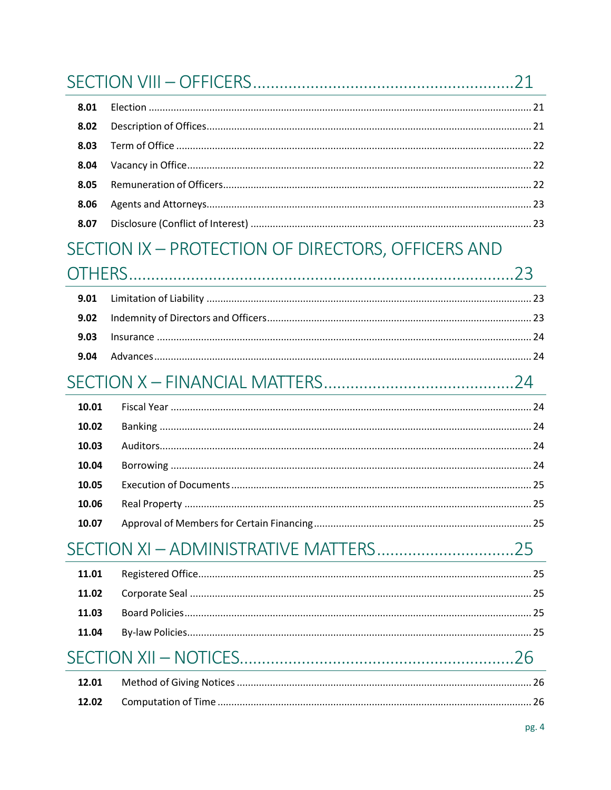| 8.01  |                                                    |  |
|-------|----------------------------------------------------|--|
| 8.02  |                                                    |  |
| 8.03  |                                                    |  |
| 8.04  |                                                    |  |
| 8.05  |                                                    |  |
| 8.06  |                                                    |  |
| 8.07  |                                                    |  |
|       | SECTION IX - PROTECTION OF DIRECTORS, OFFICERS AND |  |
|       |                                                    |  |
| 9.01  |                                                    |  |
| 9.02  |                                                    |  |
| 9.03  |                                                    |  |
| 9.04  |                                                    |  |
|       |                                                    |  |
| 10.01 |                                                    |  |
| 10.02 |                                                    |  |
| 10.03 |                                                    |  |
| 10.04 |                                                    |  |
| 10.05 |                                                    |  |
| 10.06 |                                                    |  |
| 10.07 |                                                    |  |
|       |                                                    |  |
| 11.01 |                                                    |  |
| 11.02 |                                                    |  |
| 11.03 |                                                    |  |
| 11.04 |                                                    |  |
|       |                                                    |  |
| 12.01 |                                                    |  |
| 12.02 |                                                    |  |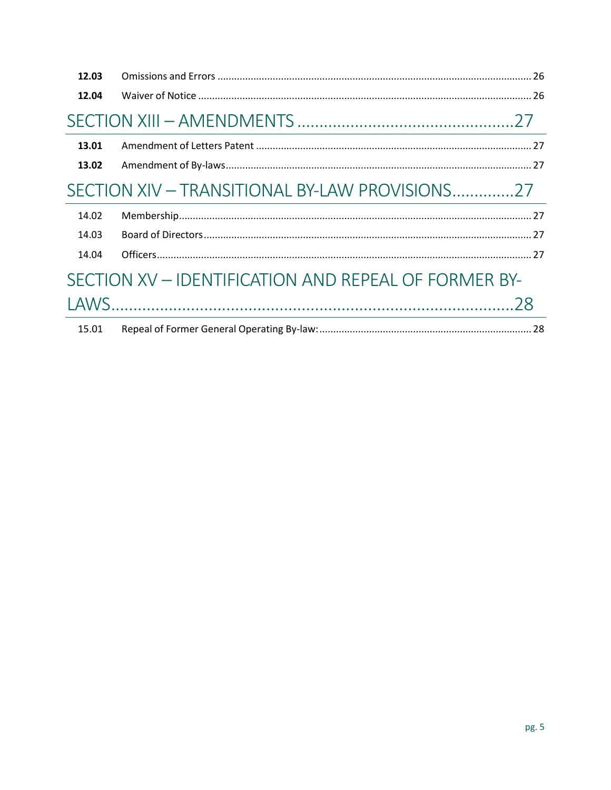| 12.03 |                                                      |
|-------|------------------------------------------------------|
| 12.04 |                                                      |
|       |                                                      |
| 13.01 |                                                      |
| 13.02 |                                                      |
|       | SECTION XIV - TRANSITIONAL BY-LAW PROVISIONS27       |
| 14.02 |                                                      |
| 14.03 |                                                      |
| 14.04 |                                                      |
|       | SECTION XV – IDENTIFICATION AND REPEAL OF FORMER BY- |
|       |                                                      |
| 15.01 |                                                      |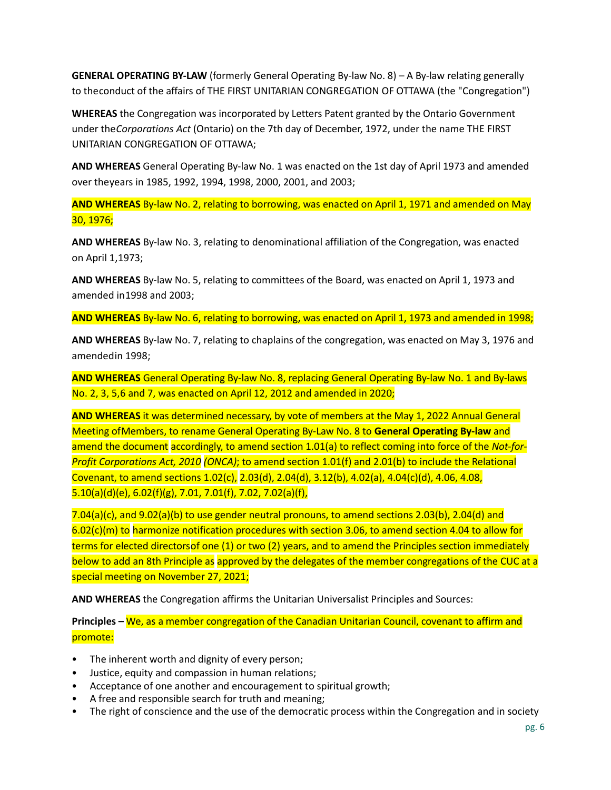**GENERAL OPERATING BY-LAW** (formerly General Operating By-law No. 8) – A By-law relating generally to theconduct of the affairs of THE FIRST UNITARIAN CONGREGATION OF OTTAWA (the "Congregation")

**WHEREAS** the Congregation was incorporated by Letters Patent granted by the Ontario Government under the*Corporations Act* (Ontario) on the 7th day of December, 1972, under the name THE FIRST UNITARIAN CONGREGATION OF OTTAWA;

**AND WHEREAS** General Operating By-law No. 1 was enacted on the 1st day of April 1973 and amended over theyears in 1985, 1992, 1994, 1998, 2000, 2001, and 2003;

**AND WHEREAS** By-law No. 2, relating to borrowing, was enacted on April 1, 1971 and amended on May 30, 1976;

**AND WHEREAS** By-law No. 3, relating to denominational affiliation of the Congregation, was enacted on April 1,1973;

**AND WHEREAS** By-law No. 5, relating to committees of the Board, was enacted on April 1, 1973 and amended in1998 and 2003;

**AND WHEREAS** By-law No. 6, relating to borrowing, was enacted on April 1, 1973 and amended in 1998;

**AND WHEREAS** By-law No. 7, relating to chaplains of the congregation, was enacted on May 3, 1976 and amendedin 1998;

**AND WHEREAS** General Operating By-law No. 8, replacing General Operating By-law No. 1 and By-laws No. 2, 3, 5,6 and 7, was enacted on April 12, 2012 and amended in 2020;

**AND WHEREAS** it was determined necessary, by vote of members at the May 1, 2022 Annual General Meeting ofMembers, to rename General Operating By-Law No. 8 to **General Operating By-law** and amend the document accordingly, to amend section 1.01(a) to reflect coming into force of the *Not-for-Profit Corporations Act, 2010 (ONCA)*; to amend section 1.01(f) and 2.01(b) to include the Relational Covenant, to amend sections 1.02(c), 2.03(d), 2.04(d), 3.12(b), 4.02(a), 4.04(c)(d), 4.06, 4.08, 5.10(a)(d)(e), 6.02(f)(g), 7.01, 7.01(f), 7.02, 7.02(a)(f),

 $7.04(a)(c)$ , and  $9.02(a)(b)$  to use gender neutral pronouns, to amend sections 2.03(b), 2.04(d) and 6.02(c)(m) to harmonize notification procedures with section 3.06, to amend section 4.04 to allow for terms for elected directorsof one (1) or two (2) years, and to amend the Principles section immediately below to add an 8th Principle as approved by the delegates of the member congregations of the CUC at a special meeting on November 27, 2021;

**AND WHEREAS** the Congregation affirms the Unitarian Universalist Principles and Sources:

**Principles –** We, as a member congregation of the Canadian Unitarian Council, covenant to affirm and promote:

- The inherent worth and dignity of every person;
- Justice, equity and compassion in human relations;
- Acceptance of one another and encouragement to spiritual growth;
- A free and responsible search for truth and meaning;
- The right of conscience and the use of the democratic process within the Congregation and in society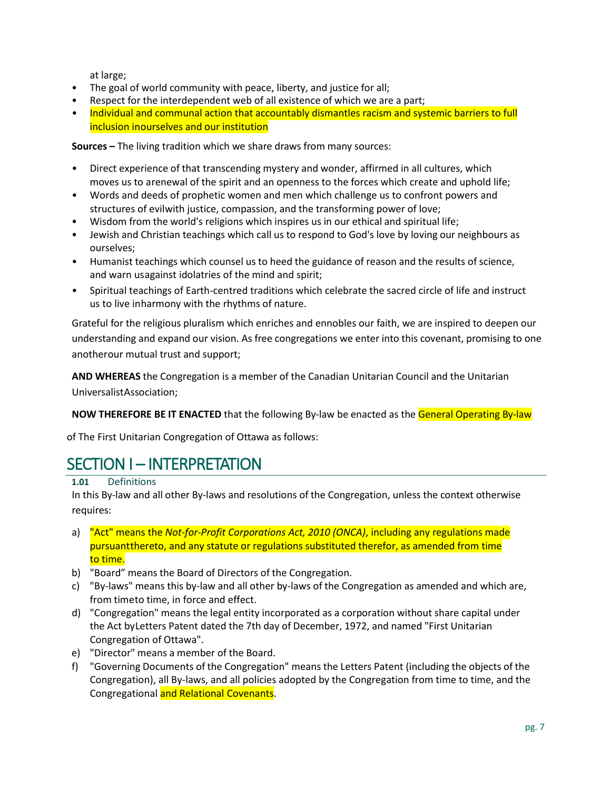at large;

- The goal of world community with peace, liberty, and justice for all;
- Respect for the interdependent web of all existence of which we are a part;
- Individual and communal action that accountably dismantles racism and systemic barriers to full inclusion inourselves and our institution

**Sources –** The living tradition which we share draws from many sources:

- Direct experience of that transcending mystery and wonder, affirmed in all cultures, which moves us to arenewal of the spirit and an openness to the forces which create and uphold life;
- Words and deeds of prophetic women and men which challenge us to confront powers and structures of evilwith justice, compassion, and the transforming power of love;
- Wisdom from the world's religions which inspires us in our ethical and spiritual life;
- Jewish and Christian teachings which call us to respond to God's love by loving our neighbours as ourselves;
- Humanist teachings which counsel us to heed the guidance of reason and the results of science, and warn usagainst idolatries of the mind and spirit;
- Spiritual teachings of Earth-centred traditions which celebrate the sacred circle of life and instruct us to live inharmony with the rhythms of nature.

Grateful for the religious pluralism which enriches and ennobles our faith, we are inspired to deepen our understanding and expand our vision. As free congregations we enter into this covenant, promising to one anotherour mutual trust and support;

**AND WHEREAS** the Congregation is a member of the Canadian Unitarian Council and the Unitarian UniversalistAssociation;

**NOW THEREFORE BE IT ENACTED** that the following By-law be enacted as the General Operating By-law

of The First Unitarian Congregation of Ottawa as follows:

# <span id="page-6-0"></span>SECTION I – INTERPRETATION

<span id="page-6-1"></span>**1.01** Definitions

In this By-law and all other By-laws and resolutions of the Congregation, unless the context otherwise requires:

- a) "Act" means the *Not-for-Profit Corporations Act, 2010 (ONCA)*, including any regulations made pursuantthereto, and any statute or regulations substituted therefor, as amended from time to time.
- b) "Board" means the Board of Directors of the Congregation.
- c) "By-laws" means this by-law and all other by-laws of the Congregation as amended and which are, from timeto time, in force and effect.
- d) "Congregation" means the legal entity incorporated as a corporation without share capital under the Act byLetters Patent dated the 7th day of December, 1972, and named "First Unitarian Congregation of Ottawa".
- e) "Director" means a member of the Board.
- f) "Governing Documents of the Congregation" means the Letters Patent (including the objects of the Congregation), all By-laws, and all policies adopted by the Congregation from time to time, and the Congregational and Relational Covenants.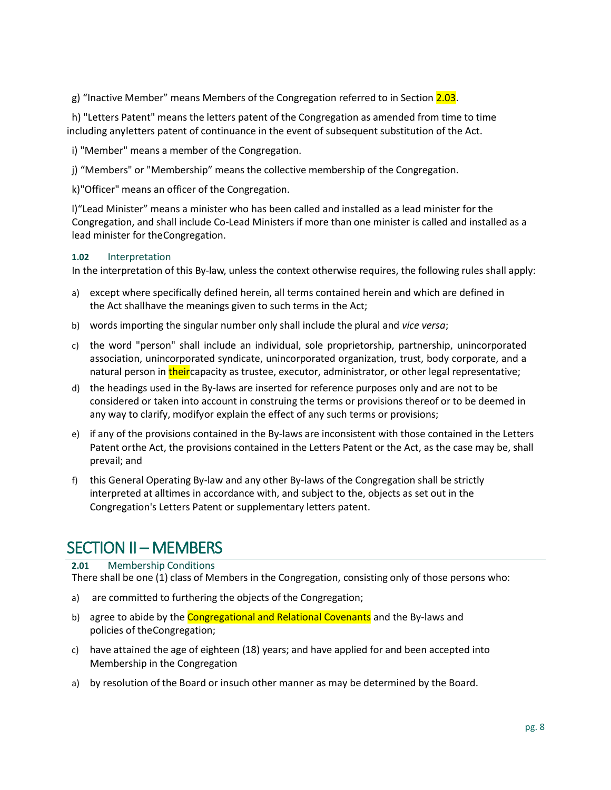g) "Inactive Member" means Members of the Congregation referred to in Section 2.03.

 h) "Letters Patent" means the letters patent of the Congregation as amended from time to time including anyletters patent of continuance in the event of subsequent substitution of the Act.

i) "Member" means a member of the Congregation.

j) "Members" or "Membership" means the collective membership of the Congregation.

k)"Officer" means an officer of the Congregation.

l)"Lead Minister" means a minister who has been called and installed as a lead minister for the Congregation, and shall include Co-Lead Ministers if more than one minister is called and installed as a lead minister for theCongregation.

#### <span id="page-7-0"></span>**1.02** Interpretation

In the interpretation of this By-law, unless the context otherwise requires, the following rules shall apply:

- a) except where specifically defined herein, all terms contained herein and which are defined in the Act shallhave the meanings given to such terms in the Act;
- b) words importing the singular number only shall include the plural and *vice versa*;
- c) the word "person" shall include an individual, sole proprietorship, partnership, unincorporated association, unincorporated syndicate, unincorporated organization, trust, body corporate, and a natural person in theircapacity as trustee, executor, administrator, or other legal representative;
- d) the headings used in the By-laws are inserted for reference purposes only and are not to be considered or taken into account in construing the terms or provisions thereof or to be deemed in any way to clarify, modifyor explain the effect of any such terms or provisions;
- e) if any of the provisions contained in the By-laws are inconsistent with those contained in the Letters Patent orthe Act, the provisions contained in the Letters Patent or the Act, as the case may be, shall prevail; and
- f) this General Operating By-law and any other By-laws of the Congregation shall be strictly interpreted at alltimes in accordance with, and subject to the, objects as set out in the Congregation's Letters Patent or supplementary letters patent.

# <span id="page-7-1"></span>SECTION II – MEMBERS

## <span id="page-7-2"></span>**2.01** Membership Conditions

There shall be one (1) class of Members in the Congregation, consisting only of those persons who:

- a) are committed to furthering the objects of the Congregation;
- b) agree to abide by the **Congregational and Relational Covenants** and the By-laws and policies of theCongregation;
- c) have attained the age of eighteen (18) years; and have applied for and been accepted into Membership in the Congregation
- a) by resolution of the Board or insuch other manner as may be determined by the Board.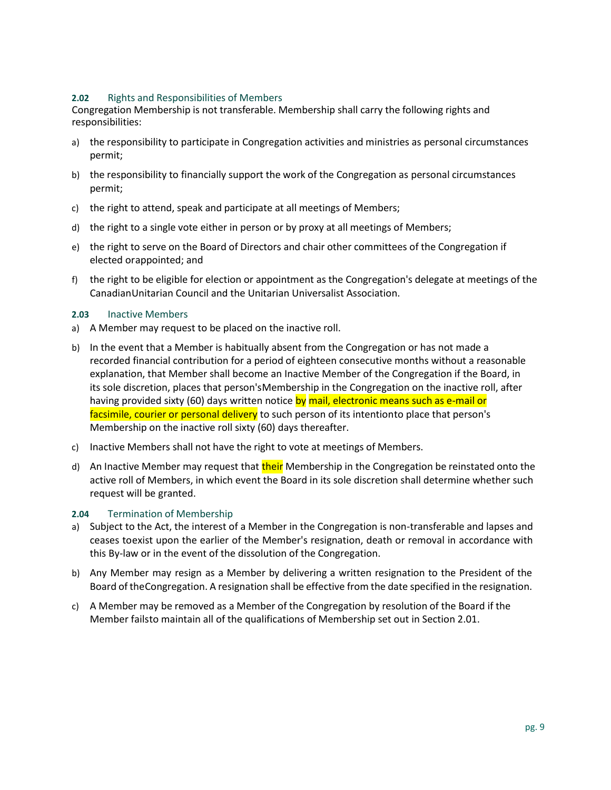#### <span id="page-8-0"></span>**2.02** Rights and Responsibilities of Members

Congregation Membership is not transferable. Membership shall carry the following rights and responsibilities:

- a) the responsibility to participate in Congregation activities and ministries as personal circumstances permit;
- b) the responsibility to financially support the work of the Congregation as personal circumstances permit;
- c) the right to attend, speak and participate at all meetings of Members;
- d) the right to a single vote either in person or by proxy at all meetings of Members;
- e) the right to serve on the Board of Directors and chair other committees of the Congregation if elected orappointed; and
- f) the right to be eligible for election or appointment as the Congregation's delegate at meetings of the CanadianUnitarian Council and the Unitarian Universalist Association.

#### <span id="page-8-1"></span>**2.03** Inactive Members

- a) A Member may request to be placed on the inactive roll.
- b) In the event that a Member is habitually absent from the Congregation or has not made a recorded financial contribution for a period of eighteen consecutive months without a reasonable explanation, that Member shall become an Inactive Member of the Congregation if the Board, in its sole discretion, places that person'sMembership in the Congregation on the inactive roll, after having provided sixty (60) days written notice by mail, electronic means such as e-mail or facsimile, courier or personal delivery to such person of its intentionto place that person's Membership on the inactive roll sixty (60) days thereafter.
- c) Inactive Members shall not have the right to vote at meetings of Members.
- d) An Inactive Member may request that their Membership in the Congregation be reinstated onto the active roll of Members, in which event the Board in its sole discretion shall determine whether such request will be granted.

#### <span id="page-8-2"></span>**2.04** Termination of Membership

- a) Subject to the Act, the interest of a Member in the Congregation is non-transferable and lapses and ceases toexist upon the earlier of the Member's resignation, death or removal in accordance with this By-law or in the event of the dissolution of the Congregation.
- b) Any Member may resign as a Member by delivering a written resignation to the President of the Board of theCongregation. A resignation shall be effective from the date specified in the resignation.
- c) A Member may be removed as a Member of the Congregation by resolution of the Board if the Member failsto maintain all of the qualifications of Membership set out in Section 2.01.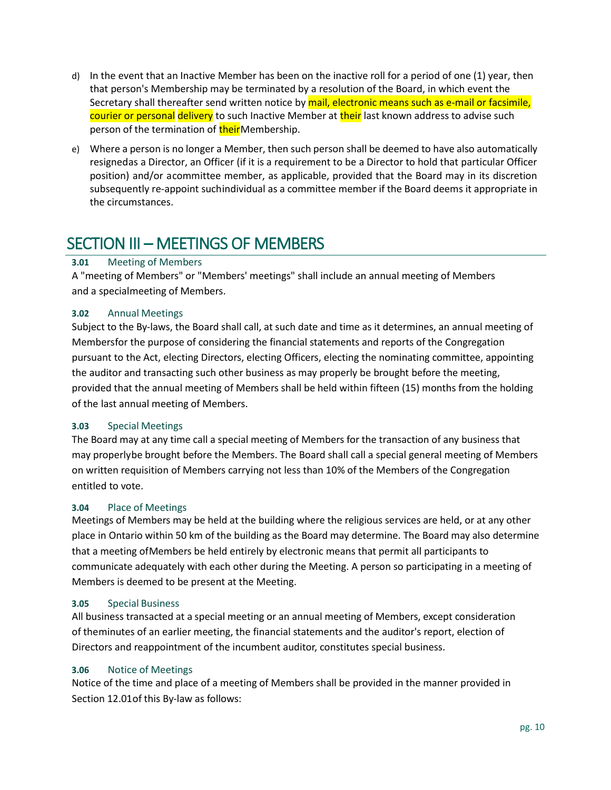- d) In the event that an Inactive Member has been on the inactive roll for a period of one (1) year, then that person's Membership may be terminated by a resolution of the Board, in which event the Secretary shall thereafter send written notice by mail, electronic means such as e-mail or facsimile, courier or personal delivery to such Inactive Member at their last known address to advise such person of the termination of theirMembership.
- e) Where a person is no longer a Member, then such person shall be deemed to have also automatically resignedas a Director, an Officer (if it is a requirement to be a Director to hold that particular Officer position) and/or acommittee member, as applicable, provided that the Board may in its discretion subsequently re-appoint suchindividual as a committee member if the Board deems it appropriate in the circumstances.

# <span id="page-9-0"></span>SECTION III – MEETINGS OF MEMBERS

## <span id="page-9-1"></span>**3.01** Meeting of Members

A "meeting of Members" or "Members' meetings" shall include an annual meeting of Members and a specialmeeting of Members.

## <span id="page-9-2"></span>**3.02** Annual Meetings

Subject to the By-laws, the Board shall call, at such date and time as it determines, an annual meeting of Membersfor the purpose of considering the financial statements and reports of the Congregation pursuant to the Act, electing Directors, electing Officers, electing the nominating committee, appointing the auditor and transacting such other business as may properly be brought before the meeting, provided that the annual meeting of Members shall be held within fifteen (15) months from the holding of the last annual meeting of Members.

## <span id="page-9-3"></span>**3.03** Special Meetings

The Board may at any time call a special meeting of Members for the transaction of any business that may properlybe brought before the Members. The Board shall call a special general meeting of Members on written requisition of Members carrying not less than 10% of the Members of the Congregation entitled to vote.

## <span id="page-9-4"></span>**3.04** Place of Meetings

Meetings of Members may be held at the building where the religious services are held, or at any other place in Ontario within 50 km of the building as the Board may determine. The Board may also determine that a meeting ofMembers be held entirely by electronic means that permit all participants to communicate adequately with each other during the Meeting. A person so participating in a meeting of Members is deemed to be present at the Meeting.

## <span id="page-9-5"></span>**3.05** Special Business

All business transacted at a special meeting or an annual meeting of Members, except consideration of theminutes of an earlier meeting, the financial statements and the auditor's report, election of Directors and reappointment of the incumbent auditor, constitutes special business.

## <span id="page-9-6"></span>**3.06** Notice of Meetings

Notice of the time and place of a meeting of Members shall be provided in the manner provided in Section 12.01of this By-law as follows: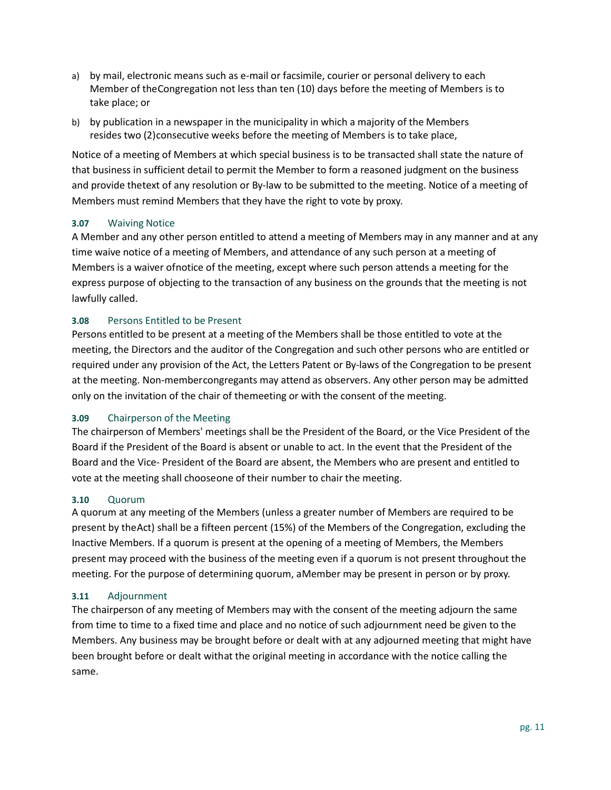- a) by mail, electronic means such as e-mail or facsimile, courier or personal delivery to each Member of theCongregation not less than ten (10) days before the meeting of Members is to take place; or
- b) by publication in a newspaper in the municipality in which a majority of the Members resides two (2)consecutive weeks before the meeting of Members is to take place,

Notice of a meeting of Members at which special business is to be transacted shall state the nature of that business in sufficient detail to permit the Member to form a reasoned judgment on the business and provide thetext of any resolution or By-law to be submitted to the meeting. Notice of a meeting of Members must remind Members that they have the right to vote by proxy.

#### <span id="page-10-0"></span>**3.07** Waiving Notice

A Member and any other person entitled to attend a meeting of Members may in any manner and at any time waive notice of a meeting of Members, and attendance of any such person at a meeting of Members is a waiver ofnotice of the meeting, except where such person attends a meeting for the express purpose of objecting to the transaction of any business on the grounds that the meeting is not lawfully called.

#### <span id="page-10-1"></span>**3.08** Persons Entitled to be Present

Persons entitled to be present at a meeting of the Members shall be those entitled to vote at the meeting, the Directors and the auditor of the Congregation and such other persons who are entitled or required under any provision of the Act, the Letters Patent or By-laws of the Congregation to be present at the meeting. Non-membercongregants may attend as observers. Any other person may be admitted only on the invitation of the chair of themeeting or with the consent of the meeting.

#### <span id="page-10-2"></span>**3.09** Chairperson of the Meeting

The chairperson of Members' meetings shall be the President of the Board, or the Vice President of the Board if the President of the Board is absent or unable to act. In the event that the President of the Board and the Vice- President of the Board are absent, the Members who are present and entitled to vote at the meeting shall chooseone of their number to chair the meeting.

#### <span id="page-10-3"></span>**3.10** Quorum

A quorum at any meeting of the Members (unless a greater number of Members are required to be present by theAct) shall be a fifteen percent (15%) of the Members of the Congregation, excluding the Inactive Members. If a quorum is present at the opening of a meeting of Members, the Members present may proceed with the business of the meeting even if a quorum is not present throughout the meeting. For the purpose of determining quorum, aMember may be present in person or by proxy.

#### <span id="page-10-4"></span>**3.11** Adjournment

The chairperson of any meeting of Members may with the consent of the meeting adjourn the same from time to time to a fixed time and place and no notice of such adjournment need be given to the Members. Any business may be brought before or dealt with at any adjourned meeting that might have been brought before or dealt withat the original meeting in accordance with the notice calling the same.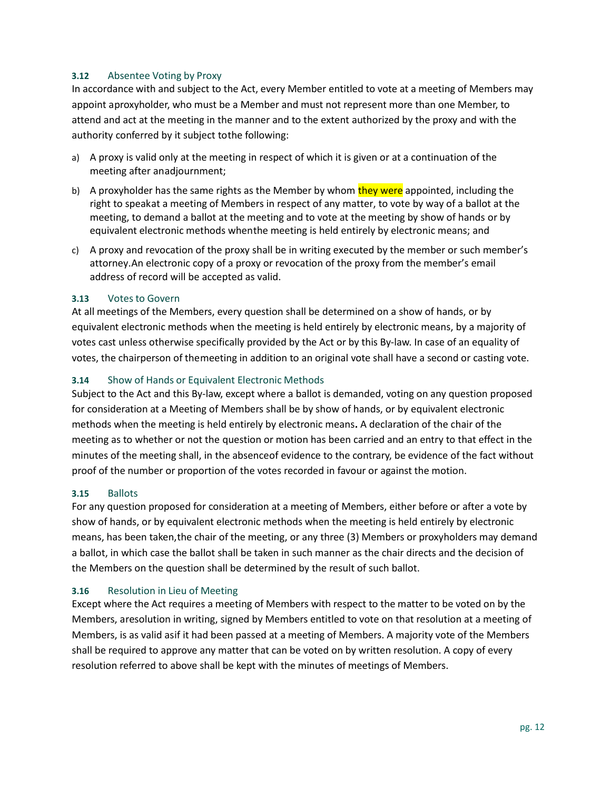#### <span id="page-11-0"></span>**3.12** Absentee Voting by Proxy

In accordance with and subject to the Act, every Member entitled to vote at a meeting of Members may appoint aproxyholder, who must be a Member and must not represent more than one Member, to attend and act at the meeting in the manner and to the extent authorized by the proxy and with the authority conferred by it subject tothe following:

- a) A proxy is valid only at the meeting in respect of which it is given or at a continuation of the meeting after anadjournment;
- b) A proxyholder has the same rights as the Member by whom they were appointed, including the right to speakat a meeting of Members in respect of any matter, to vote by way of a ballot at the meeting, to demand a ballot at the meeting and to vote at the meeting by show of hands or by equivalent electronic methods whenthe meeting is held entirely by electronic means; and
- c) A proxy and revocation of the proxy shall be in writing executed by the member or such member's attorney.An electronic copy of a proxy or revocation of the proxy from the member's email address of record will be accepted as valid.

#### <span id="page-11-1"></span>**3.13** Votes to Govern

At all meetings of the Members, every question shall be determined on a show of hands, or by equivalent electronic methods when the meeting is held entirely by electronic means, by a majority of votes cast unless otherwise specifically provided by the Act or by this By-law. In case of an equality of votes, the chairperson of themeeting in addition to an original vote shall have a second or casting vote.

#### <span id="page-11-2"></span>**3.14** Show of Hands or Equivalent Electronic Methods

Subject to the Act and this By-law, except where a ballot is demanded, voting on any question proposed for consideration at a Meeting of Members shall be by show of hands, or by equivalent electronic methods when the meeting is held entirely by electronic means**.** A declaration of the chair of the meeting as to whether or not the question or motion has been carried and an entry to that effect in the minutes of the meeting shall, in the absenceof evidence to the contrary, be evidence of the fact without proof of the number or proportion of the votes recorded in favour or against the motion.

#### <span id="page-11-3"></span>**3.15** Ballots

For any question proposed for consideration at a meeting of Members, either before or after a vote by show of hands, or by equivalent electronic methods when the meeting is held entirely by electronic means, has been taken,the chair of the meeting, or any three (3) Members or proxyholders may demand a ballot, in which case the ballot shall be taken in such manner as the chair directs and the decision of the Members on the question shall be determined by the result of such ballot.

#### <span id="page-11-4"></span>**3.16** Resolution in Lieu of Meeting

Except where the Act requires a meeting of Members with respect to the matter to be voted on by the Members, aresolution in writing, signed by Members entitled to vote on that resolution at a meeting of Members, is as valid asif it had been passed at a meeting of Members. A majority vote of the Members shall be required to approve any matter that can be voted on by written resolution. A copy of every resolution referred to above shall be kept with the minutes of meetings of Members.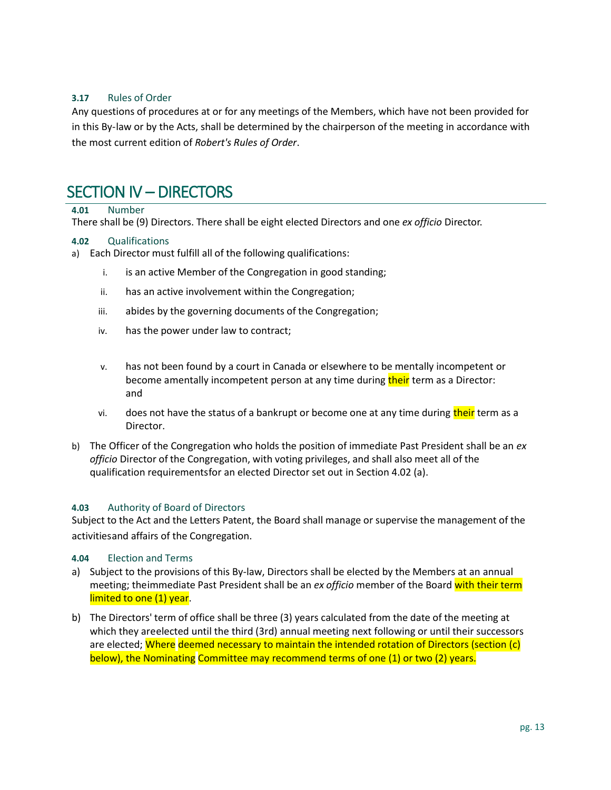### <span id="page-12-0"></span>**3.17** Rules of Order

Any questions of procedures at or for any meetings of the Members, which have not been provided for in this By-law or by the Acts, shall be determined by the chairperson of the meeting in accordance with the most current edition of *Robert's Rules of Order*.

## <span id="page-12-1"></span>SECTION IV – DIRECTORS

#### <span id="page-12-2"></span>**4.01** Number

There shall be (9) Directors. There shall be eight elected Directors and one *ex officio* Director.

#### <span id="page-12-3"></span>**4.02** Qualifications

- a) Each Director must fulfill all of the following qualifications:
	- i. is an active Member of the Congregation in good standing;
	- ii. has an active involvement within the Congregation;
	- iii. abides by the governing documents of the Congregation;
	- iv. has the power under law to contract;
	- v. has not been found by a court in Canada or elsewhere to be mentally incompetent or become amentally incompetent person at any time during their term as a Director: and
	- vi. does not have the status of a bankrupt or become one at any time during their term as a Director.
- b) The Officer of the Congregation who holds the position of immediate Past President shall be an *ex officio* Director of the Congregation, with voting privileges, and shall also meet all of the qualification requirementsfor an elected Director set out in Section 4.02 (a).

#### <span id="page-12-4"></span>**4.03** Authority of Board of Directors

Subject to the Act and the Letters Patent, the Board shall manage or supervise the management of the activitiesand affairs of the Congregation.

#### <span id="page-12-5"></span>**4.04** Election and Terms

- a) Subject to the provisions of this By-law, Directors shall be elected by the Members at an annual meeting; theimmediate Past President shall be an *ex officio* member of the Board with their term limited to one (1) year.
- b) The Directors' term of office shall be three (3) years calculated from the date of the meeting at which they areelected until the third (3rd) annual meeting next following or until their successors are elected; Where deemed necessary to maintain the intended rotation of Directors (section (c) below), the Nominating Committee may recommend terms of one (1) or two (2) years.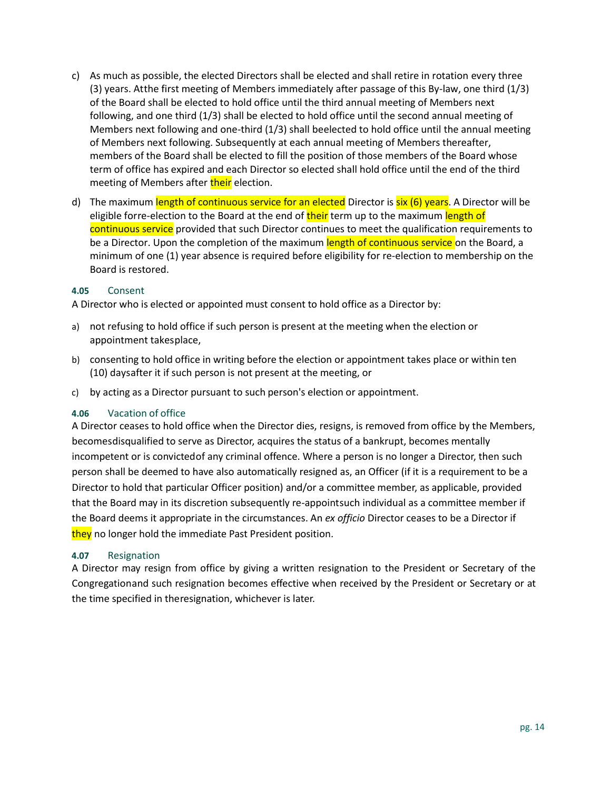- c) As much as possible, the elected Directors shall be elected and shall retire in rotation every three (3) years. Atthe first meeting of Members immediately after passage of this By-law, one third (1/3) of the Board shall be elected to hold office until the third annual meeting of Members next following, and one third (1/3) shall be elected to hold office until the second annual meeting of Members next following and one-third (1/3) shall beelected to hold office until the annual meeting of Members next following. Subsequently at each annual meeting of Members thereafter, members of the Board shall be elected to fill the position of those members of the Board whose term of office has expired and each Director so elected shall hold office until the end of the third meeting of Members after their election.
- d) The maximum length of continuous service for an elected Director is six (6) years. A Director will be eligible forre-election to the Board at the end of their term up to the maximum length of continuous service provided that such Director continues to meet the qualification requirements to be a Director. Upon the completion of the maximum length of continuous service on the Board, a minimum of one (1) year absence is required before eligibility for re-election to membership on the Board is restored.

#### <span id="page-13-0"></span>**4.05** Consent

A Director who is elected or appointed must consent to hold office as a Director by:

- a) not refusing to hold office if such person is present at the meeting when the election or appointment takesplace,
- b) consenting to hold office in writing before the election or appointment takes place or within ten (10) daysafter it if such person is not present at the meeting, or
- c) by acting as a Director pursuant to such person's election or appointment.

#### <span id="page-13-1"></span>**4.06** Vacation of office

A Director ceases to hold office when the Director dies, resigns, is removed from office by the Members, becomesdisqualified to serve as Director, acquires the status of a bankrupt, becomes mentally incompetent or is convictedof any criminal offence. Where a person is no longer a Director, then such person shall be deemed to have also automatically resigned as, an Officer (if it is a requirement to be a Director to hold that particular Officer position) and/or a committee member, as applicable, provided that the Board may in its discretion subsequently re-appointsuch individual as a committee member if the Board deems it appropriate in the circumstances. An *ex officio* Director ceases to be a Director if they no longer hold the immediate Past President position.

#### <span id="page-13-2"></span>**4.07** Resignation

A Director may resign from office by giving a written resignation to the President or Secretary of the Congregationand such resignation becomes effective when received by the President or Secretary or at the time specified in theresignation, whichever is later.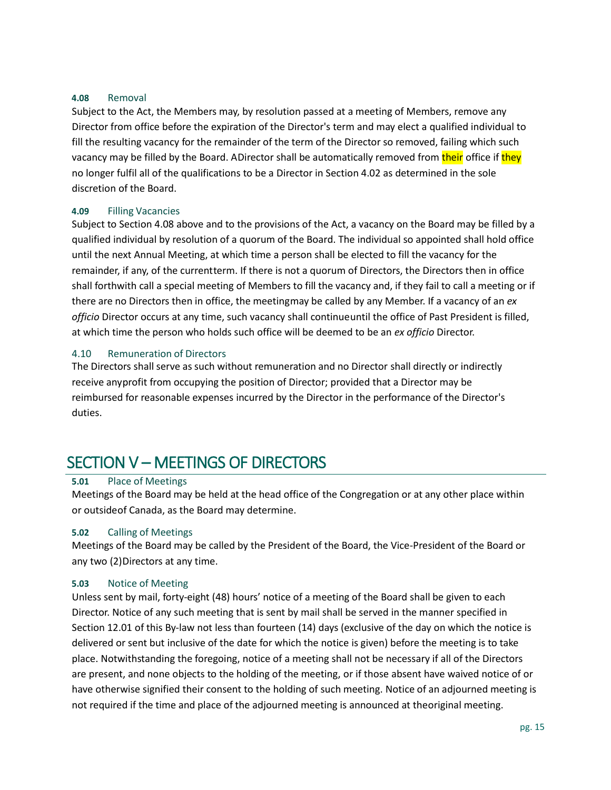#### <span id="page-14-0"></span>**4.08** Removal

Subject to the Act, the Members may, by resolution passed at a meeting of Members, remove any Director from office before the expiration of the Director's term and may elect a qualified individual to fill the resulting vacancy for the remainder of the term of the Director so removed, failing which such vacancy may be filled by the Board. ADirector shall be automatically removed from their office if they no longer fulfil all of the qualifications to be a Director in Section 4.02 as determined in the sole discretion of the Board.

#### <span id="page-14-1"></span>**4.09** Filling Vacancies

Subject to Section 4.08 above and to the provisions of the Act, a vacancy on the Board may be filled by a qualified individual by resolution of a quorum of the Board. The individual so appointed shall hold office until the next Annual Meeting, at which time a person shall be elected to fill the vacancy for the remainder, if any, of the currentterm. If there is not a quorum of Directors, the Directors then in office shall forthwith call a special meeting of Members to fill the vacancy and, if they fail to call a meeting or if there are no Directors then in office, the meetingmay be called by any Member. If a vacancy of an *ex officio* Director occurs at any time, such vacancy shall continueuntil the office of Past President is filled, at which time the person who holds such office will be deemed to be an *ex officio* Director.

#### <span id="page-14-2"></span>4.10 Remuneration of Directors

The Directors shall serve as such without remuneration and no Director shall directly or indirectly receive anyprofit from occupying the position of Director; provided that a Director may be reimbursed for reasonable expenses incurred by the Director in the performance of the Director's duties.

# <span id="page-14-3"></span>SECTION V – MEETINGS OF DIRECTORS

#### <span id="page-14-4"></span>**5.01** Place of Meetings

Meetings of the Board may be held at the head office of the Congregation or at any other place within or outsideof Canada, as the Board may determine.

#### <span id="page-14-5"></span>**5.02** Calling of Meetings

Meetings of the Board may be called by the President of the Board, the Vice-President of the Board or any two (2)Directors at any time.

#### <span id="page-14-6"></span>**5.03** Notice of Meeting

Unless sent by mail, forty-eight (48) hours' notice of a meeting of the Board shall be given to each Director. Notice of any such meeting that is sent by mail shall be served in the manner specified in Section 12.01 of this By-law not less than fourteen (14) days (exclusive of the day on which the notice is delivered or sent but inclusive of the date for which the notice is given) before the meeting is to take place. Notwithstanding the foregoing, notice of a meeting shall not be necessary if all of the Directors are present, and none objects to the holding of the meeting, or if those absent have waived notice of or have otherwise signified their consent to the holding of such meeting. Notice of an adjourned meeting is not required if the time and place of the adjourned meeting is announced at theoriginal meeting.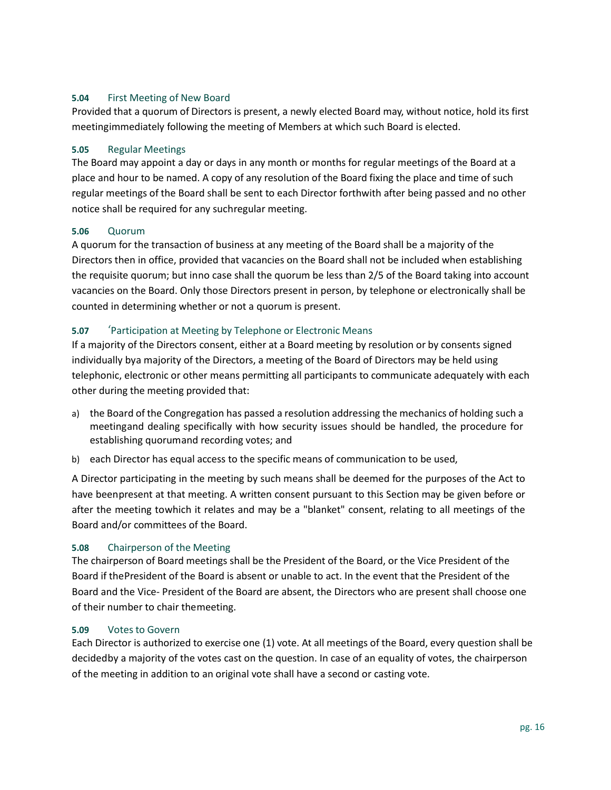### <span id="page-15-0"></span>**5.04** First Meeting of New Board

Provided that a quorum of Directors is present, a newly elected Board may, without notice, hold its first meetingimmediately following the meeting of Members at which such Board is elected.

#### <span id="page-15-1"></span>**5.05** Regular Meetings

The Board may appoint a day or days in any month or months for regular meetings of the Board at a place and hour to be named. A copy of any resolution of the Board fixing the place and time of such regular meetings of the Board shall be sent to each Director forthwith after being passed and no other notice shall be required for any suchregular meeting.

#### <span id="page-15-2"></span>**5.06** Quorum

A quorum for the transaction of business at any meeting of the Board shall be a majority of the Directors then in office, provided that vacancies on the Board shall not be included when establishing the requisite quorum; but inno case shall the quorum be less than 2/5 of the Board taking into account vacancies on the Board. Only those Directors present in person, by telephone or electronically shall be counted in determining whether or not a quorum is present.

#### <span id="page-15-3"></span>**5.07** 'Participation at Meeting by Telephone or Electronic Means

If a majority of the Directors consent, either at a Board meeting by resolution or by consents signed individually bya majority of the Directors, a meeting of the Board of Directors may be held using telephonic, electronic or other means permitting all participants to communicate adequately with each other during the meeting provided that:

- a) the Board of the Congregation has passed a resolution addressing the mechanics of holding such a meetingand dealing specifically with how security issues should be handled, the procedure for establishing quorumand recording votes; and
- b) each Director has equal access to the specific means of communication to be used,

A Director participating in the meeting by such means shall be deemed for the purposes of the Act to have beenpresent at that meeting. A written consent pursuant to this Section may be given before or after the meeting towhich it relates and may be a "blanket" consent, relating to all meetings of the Board and/or committees of the Board.

#### <span id="page-15-4"></span>**5.08** Chairperson of the Meeting

The chairperson of Board meetings shall be the President of the Board, or the Vice President of the Board if thePresident of the Board is absent or unable to act. In the event that the President of the Board and the Vice- President of the Board are absent, the Directors who are present shall choose one of their number to chair themeeting.

#### <span id="page-15-5"></span>**5.09** Votes to Govern

Each Director is authorized to exercise one (1) vote. At all meetings of the Board, every question shall be decidedby a majority of the votes cast on the question. In case of an equality of votes, the chairperson of the meeting in addition to an original vote shall have a second or casting vote.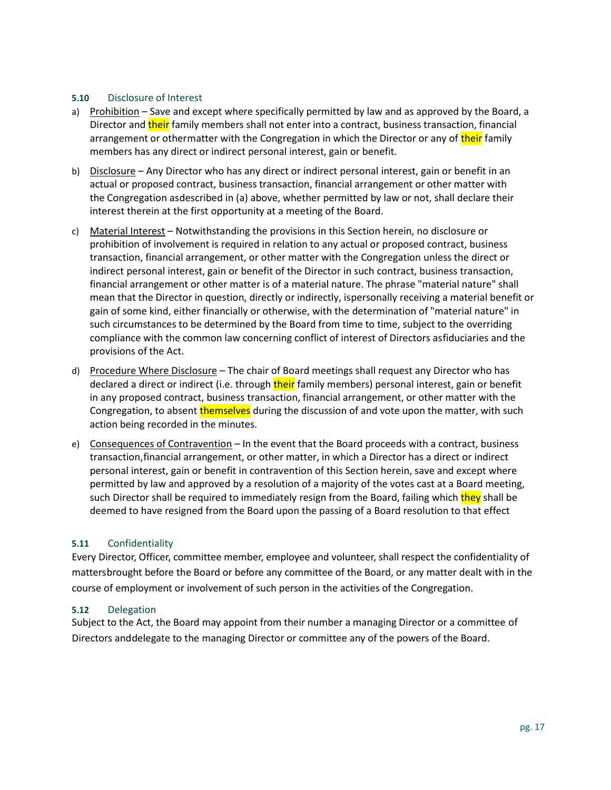#### <span id="page-16-0"></span>**5.10** Disclosure of Interest

- a) Prohibition Save and except where specifically permitted by law and as approved by the Board, a Director and their family members shall not enter into a contract, business transaction, financial arrangement or othermatter with the Congregation in which the Director or any of their family members has any direct or indirect personal interest, gain or benefit.
- b) Disclosure Any Director who has any direct or indirect personal interest, gain or benefit in an actual or proposed contract, business transaction, financial arrangement or other matter with the Congregation asdescribed in (a) above, whether permitted by law or not, shall declare their interest therein at the first opportunity at a meeting of the Board.
- c) Material Interest Notwithstanding the provisions in this Section herein, no disclosure or prohibition of involvement is required in relation to any actual or proposed contract, business transaction, financial arrangement, or other matter with the Congregation unless the direct or indirect personal interest, gain or benefit of the Director in such contract, business transaction, financial arrangement or other matter is of a material nature. The phrase "material nature" shall mean that the Director in question, directly or indirectly, ispersonally receiving a material benefit or gain of some kind, either financially or otherwise, with the determination of "material nature" in such circumstances to be determined by the Board from time to time, subject to the overriding compliance with the common law concerning conflict of interest of Directors asfiduciaries and the provisions of the Act.
- d) Procedure Where Disclosure The chair of Board meetings shall request any Director who has declared a direct or indirect (i.e. through their family members) personal interest, gain or benefit in any proposed contract, business transaction, financial arrangement, or other matter with the Congregation, to absent themselves during the discussion of and vote upon the matter, with such action being recorded in the minutes.
- e) Consequences of Contravention In the event that the Board proceeds with a contract, business transaction,financial arrangement, or other matter, in which a Director has a direct or indirect personal interest, gain or benefit in contravention of this Section herein, save and except where permitted by law and approved by a resolution of a majority of the votes cast at a Board meeting, such Director shall be required to immediately resign from the Board, failing which they shall be deemed to have resigned from the Board upon the passing of a Board resolution to that effect

#### <span id="page-16-1"></span>**5.11** Confidentiality

Every Director, Officer, committee member, employee and volunteer, shall respect the confidentiality of mattersbrought before the Board or before any committee of the Board, or any matter dealt with in the course of employment or involvement of such person in the activities of the Congregation.

#### <span id="page-16-2"></span>**5.12** Delegation

Subject to the Act, the Board may appoint from their number a managing Director or a committee of Directors anddelegate to the managing Director or committee any of the powers of the Board.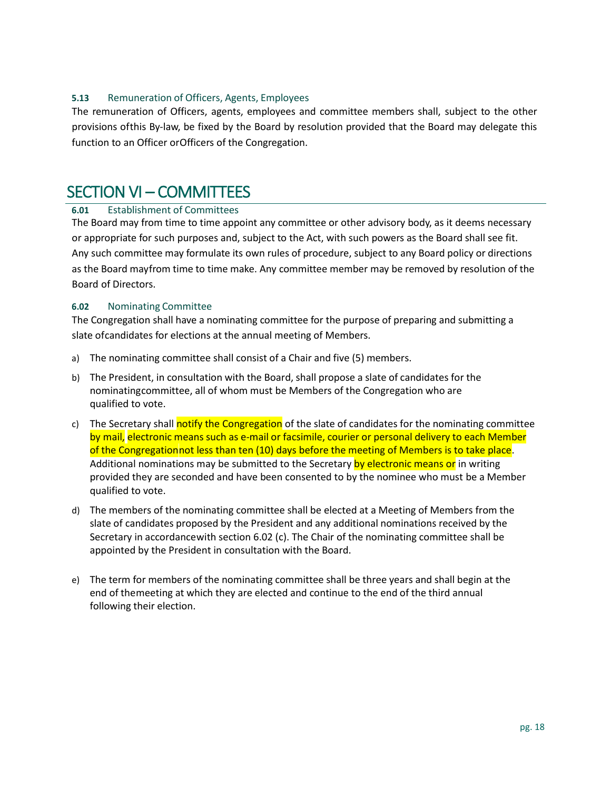#### <span id="page-17-0"></span>**5.13** Remuneration of Officers, Agents, Employees

The remuneration of Officers, agents, employees and committee members shall, subject to the other provisions ofthis By-law, be fixed by the Board by resolution provided that the Board may delegate this function to an Officer orOfficers of the Congregation.

## <span id="page-17-1"></span>SECTION VI – COMMITTEES

#### <span id="page-17-2"></span>**6.01** Establishment of Committees

The Board may from time to time appoint any committee or other advisory body, as it deems necessary or appropriate for such purposes and, subject to the Act, with such powers as the Board shall see fit. Any such committee may formulate its own rules of procedure, subject to any Board policy or directions as the Board mayfrom time to time make. Any committee member may be removed by resolution of the Board of Directors.

#### <span id="page-17-3"></span>**6.02** Nominating Committee

The Congregation shall have a nominating committee for the purpose of preparing and submitting a slate ofcandidates for elections at the annual meeting of Members.

- a) The nominating committee shall consist of a Chair and five (5) members.
- b) The President, in consultation with the Board, shall propose a slate of candidates for the nominatingcommittee, all of whom must be Members of the Congregation who are qualified to vote.
- c) The Secretary shall notify the Congregation of the slate of candidates for the nominating committee by mail, electronic means such as e-mail or facsimile, courier or personal delivery to each Member of the Congregationnot less than ten (10) days before the meeting of Members is to take place. Additional nominations may be submitted to the Secretary by electronic means or in writing provided they are seconded and have been consented to by the nominee who must be a Member qualified to vote.
- d) The members of the nominating committee shall be elected at a Meeting of Members from the slate of candidates proposed by the President and any additional nominations received by the Secretary in accordancewith section 6.02 (c). The Chair of the nominating committee shall be appointed by the President in consultation with the Board.
- e) The term for members of the nominating committee shall be three years and shall begin at the end of themeeting at which they are elected and continue to the end of the third annual following their election.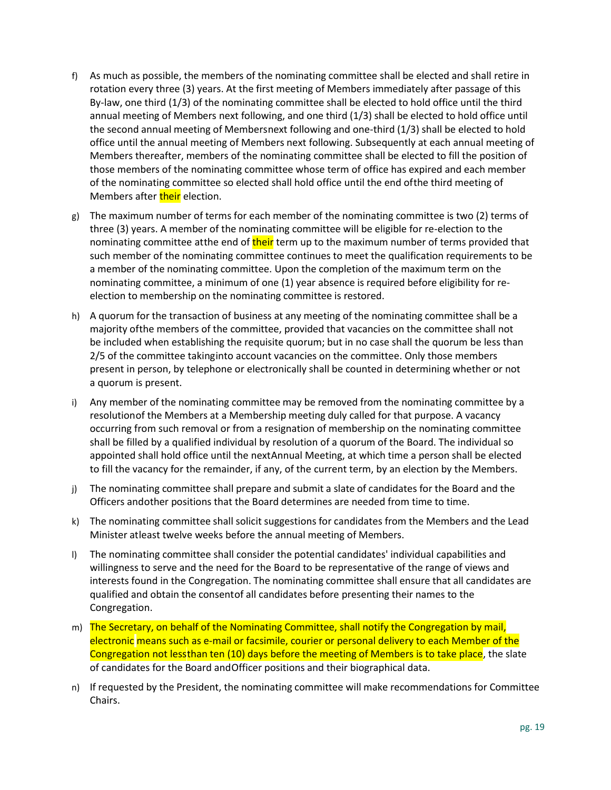- f) As much as possible, the members of the nominating committee shall be elected and shall retire in rotation every three (3) years. At the first meeting of Members immediately after passage of this By-law, one third (1/3) of the nominating committee shall be elected to hold office until the third annual meeting of Members next following, and one third (1/3) shall be elected to hold office until the second annual meeting of Membersnext following and one-third (1/3) shall be elected to hold office until the annual meeting of Members next following. Subsequently at each annual meeting of Members thereafter, members of the nominating committee shall be elected to fill the position of those members of the nominating committee whose term of office has expired and each member of the nominating committee so elected shall hold office until the end ofthe third meeting of Members after **their** election.
- g) The maximum number of terms for each member of the nominating committee is two (2) terms of three (3) years. A member of the nominating committee will be eligible for re-election to the nominating committee atthe end of their term up to the maximum number of terms provided that such member of the nominating committee continues to meet the qualification requirements to be a member of the nominating committee. Upon the completion of the maximum term on the nominating committee, a minimum of one (1) year absence is required before eligibility for reelection to membership on the nominating committee is restored.
- h) A quorum for the transaction of business at any meeting of the nominating committee shall be a majority ofthe members of the committee, provided that vacancies on the committee shall not be included when establishing the requisite quorum; but in no case shall the quorum be less than 2/5 of the committee takinginto account vacancies on the committee. Only those members present in person, by telephone or electronically shall be counted in determining whether or not a quorum is present.
- i) Any member of the nominating committee may be removed from the nominating committee by a resolutionof the Members at a Membership meeting duly called for that purpose. A vacancy occurring from such removal or from a resignation of membership on the nominating committee shall be filled by a qualified individual by resolution of a quorum of the Board. The individual so appointed shall hold office until the nextAnnual Meeting, at which time a person shall be elected to fill the vacancy for the remainder, if any, of the current term, by an election by the Members.
- j) The nominating committee shall prepare and submit a slate of candidates for the Board and the Officers andother positions that the Board determines are needed from time to time.
- k) The nominating committee shall solicit suggestions for candidates from the Members and the Lead Minister atleast twelve weeks before the annual meeting of Members.
- l) The nominating committee shall consider the potential candidates' individual capabilities and willingness to serve and the need for the Board to be representative of the range of views and interests found in the Congregation. The nominating committee shall ensure that all candidates are qualified and obtain the consentof all candidates before presenting their names to the Congregation.
- m) The Secretary, on behalf of the Nominating Committee, shall notify the Congregation by mail, electronic means such as e-mail or facsimile, courier or personal delivery to each Member of the Congregation not lessthan ten (10) days before the meeting of Members is to take place, the slate of candidates for the Board andOfficer positions and their biographical data.
- n) If requested by the President, the nominating committee will make recommendations for Committee Chairs.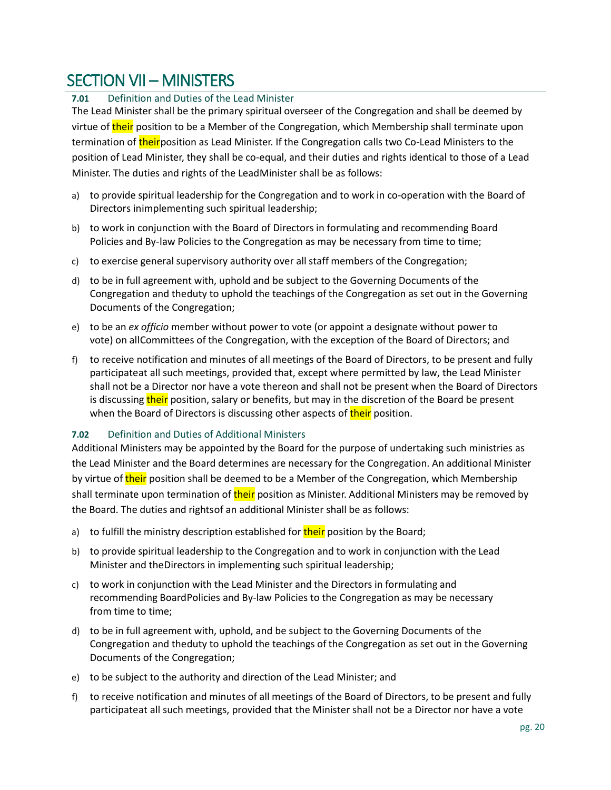# <span id="page-19-0"></span>SECTION VII – MINISTERS

### <span id="page-19-1"></span>**7.01** Definition and Duties of the Lead Minister

The Lead Minister shall be the primary spiritual overseer of the Congregation and shall be deemed by virtue of their position to be a Member of the Congregation, which Membership shall terminate upon termination of their position as Lead Minister. If the Congregation calls two Co-Lead Ministers to the position of Lead Minister, they shall be co-equal, and their duties and rights identical to those of a Lead Minister. The duties and rights of the LeadMinister shall be as follows:

- a) to provide spiritual leadership for the Congregation and to work in co-operation with the Board of Directors inimplementing such spiritual leadership;
- b) to work in conjunction with the Board of Directors in formulating and recommending Board Policies and By-law Policies to the Congregation as may be necessary from time to time;
- c) to exercise general supervisory authority over all staff members of the Congregation;
- d) to be in full agreement with, uphold and be subject to the Governing Documents of the Congregation and theduty to uphold the teachings of the Congregation as set out in the Governing Documents of the Congregation;
- e) to be an *ex officio* member without power to vote (or appoint a designate without power to vote) on allCommittees of the Congregation, with the exception of the Board of Directors; and
- f) to receive notification and minutes of all meetings of the Board of Directors, to be present and fully participateat all such meetings, provided that, except where permitted by law, the Lead Minister shall not be a Director nor have a vote thereon and shall not be present when the Board of Directors is discussing their position, salary or benefits, but may in the discretion of the Board be present when the Board of Directors is discussing other aspects of their position.

## <span id="page-19-2"></span>**7.02** Definition and Duties of Additional Ministers

Additional Ministers may be appointed by the Board for the purpose of undertaking such ministries as the Lead Minister and the Board determines are necessary for the Congregation. An additional Minister by virtue of their position shall be deemed to be a Member of the Congregation, which Membership shall terminate upon termination of their position as Minister. Additional Ministers may be removed by the Board. The duties and rightsof an additional Minister shall be as follows:

- a) to fulfill the ministry description established for their position by the Board;
- b) to provide spiritual leadership to the Congregation and to work in conjunction with the Lead Minister and theDirectors in implementing such spiritual leadership;
- c) to work in conjunction with the Lead Minister and the Directors in formulating and recommending BoardPolicies and By-law Policies to the Congregation as may be necessary from time to time;
- d) to be in full agreement with, uphold, and be subject to the Governing Documents of the Congregation and theduty to uphold the teachings of the Congregation as set out in the Governing Documents of the Congregation;
- e) to be subject to the authority and direction of the Lead Minister; and
- f) to receive notification and minutes of all meetings of the Board of Directors, to be present and fully participateat all such meetings, provided that the Minister shall not be a Director nor have a vote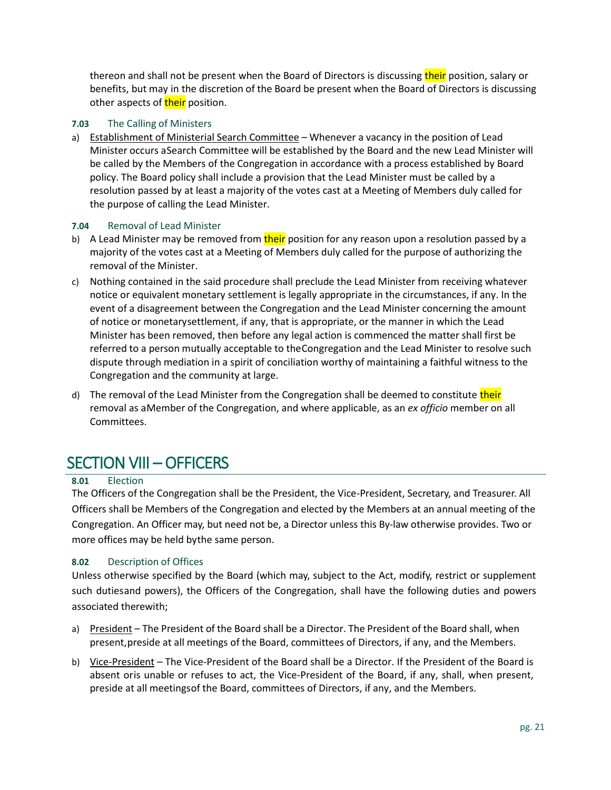thereon and shall not be present when the Board of Directors is discussing their position, salary or benefits, but may in the discretion of the Board be present when the Board of Directors is discussing other aspects of their position.

#### <span id="page-20-0"></span>**7.03** The Calling of Ministers

a) Establishment of Ministerial Search Committee – Whenever a vacancy in the position of Lead Minister occurs aSearch Committee will be established by the Board and the new Lead Minister will be called by the Members of the Congregation in accordance with a process established by Board policy. The Board policy shall include a provision that the Lead Minister must be called by a resolution passed by at least a majority of the votes cast at a Meeting of Members duly called for the purpose of calling the Lead Minister.

#### <span id="page-20-1"></span>**7.04** Removal of Lead Minister

- b) A Lead Minister may be removed from their position for any reason upon a resolution passed by a majority of the votes cast at a Meeting of Members duly called for the purpose of authorizing the removal of the Minister.
- c) Nothing contained in the said procedure shall preclude the Lead Minister from receiving whatever notice or equivalent monetary settlement is legally appropriate in the circumstances, if any. In the event of a disagreement between the Congregation and the Lead Minister concerning the amount of notice or monetarysettlement, if any, that is appropriate, or the manner in which the Lead Minister has been removed, then before any legal action is commenced the matter shall first be referred to a person mutually acceptable to theCongregation and the Lead Minister to resolve such dispute through mediation in a spirit of conciliation worthy of maintaining a faithful witness to the Congregation and the community at large.
- d) The removal of the Lead Minister from the Congregation shall be deemed to constitute their removal as aMember of the Congregation, and where applicable, as an *ex officio* member on all Committees.

# <span id="page-20-2"></span>SECTION VIII – OFFICERS

#### <span id="page-20-3"></span>**8.01** Election

The Officers of the Congregation shall be the President, the Vice-President, Secretary, and Treasurer. All Officers shall be Members of the Congregation and elected by the Members at an annual meeting of the Congregation. An Officer may, but need not be, a Director unless this By-law otherwise provides. Two or more offices may be held bythe same person.

#### <span id="page-20-4"></span>**8.02** Description of Offices

Unless otherwise specified by the Board (which may, subject to the Act, modify, restrict or supplement such dutiesand powers), the Officers of the Congregation, shall have the following duties and powers associated therewith;

- a) President The President of the Board shall be a Director. The President of the Board shall, when present,preside at all meetings of the Board, committees of Directors, if any, and the Members.
- b) Vice-President The Vice-President of the Board shall be a Director. If the President of the Board is absent oris unable or refuses to act, the Vice-President of the Board, if any, shall, when present, preside at all meetingsof the Board, committees of Directors, if any, and the Members.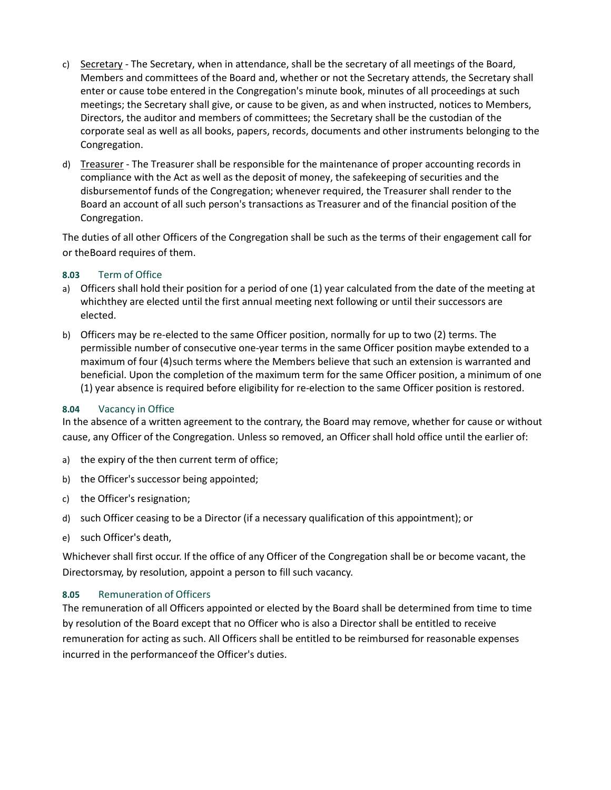- c) Secretary The Secretary, when in attendance, shall be the secretary of all meetings of the Board, Members and committees of the Board and, whether or not the Secretary attends, the Secretary shall enter or cause tobe entered in the Congregation's minute book, minutes of all proceedings at such meetings; the Secretary shall give, or cause to be given, as and when instructed, notices to Members, Directors, the auditor and members of committees; the Secretary shall be the custodian of the corporate seal as well as all books, papers, records, documents and other instruments belonging to the Congregation.
- d) Treasurer The Treasurer shall be responsible for the maintenance of proper accounting records in compliance with the Act as well as the deposit of money, the safekeeping of securities and the disbursementof funds of the Congregation; whenever required, the Treasurer shall render to the Board an account of all such person's transactions as Treasurer and of the financial position of the Congregation.

The duties of all other Officers of the Congregation shall be such as the terms of their engagement call for or theBoard requires of them.

#### <span id="page-21-0"></span>**8.03** Term of Office

- a) Officers shall hold their position for a period of one (1) year calculated from the date of the meeting at whichthey are elected until the first annual meeting next following or until their successors are elected.
- b) Officers may be re-elected to the same Officer position, normally for up to two (2) terms. The permissible number of consecutive one-year terms in the same Officer position maybe extended to a maximum of four (4)such terms where the Members believe that such an extension is warranted and beneficial. Upon the completion of the maximum term for the same Officer position, a minimum of one (1) year absence is required before eligibility for re-election to the same Officer position is restored.

#### <span id="page-21-1"></span>**8.04** Vacancy in Office

In the absence of a written agreement to the contrary, the Board may remove, whether for cause or without cause, any Officer of the Congregation. Unless so removed, an Officer shall hold office until the earlier of:

- a) the expiry of the then current term of office;
- b) the Officer's successor being appointed;
- c) the Officer's resignation;
- d) such Officer ceasing to be a Director (if a necessary qualification of this appointment); or
- e) such Officer's death,

Whichever shall first occur. If the office of any Officer of the Congregation shall be or become vacant, the Directorsmay, by resolution, appoint a person to fill such vacancy.

#### <span id="page-21-2"></span>**8.05** Remuneration of Officers

The remuneration of all Officers appointed or elected by the Board shall be determined from time to time by resolution of the Board except that no Officer who is also a Director shall be entitled to receive remuneration for acting as such. All Officers shall be entitled to be reimbursed for reasonable expenses incurred in the performanceof the Officer's duties.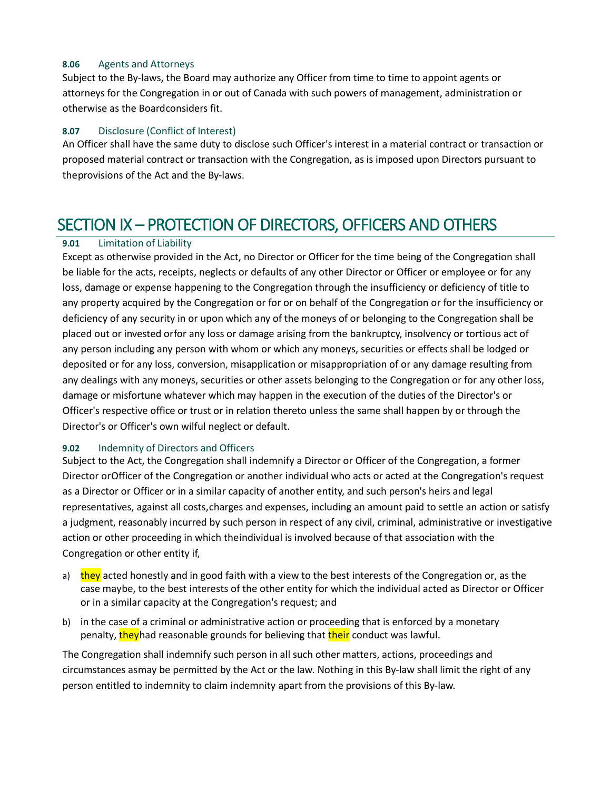#### <span id="page-22-0"></span>**8.06** Agents and Attorneys

Subject to the By-laws, the Board may authorize any Officer from time to time to appoint agents or attorneys for the Congregation in or out of Canada with such powers of management, administration or otherwise as the Boardconsiders fit.

#### <span id="page-22-1"></span>**8.07** Disclosure (Conflict of Interest)

An Officer shall have the same duty to disclose such Officer's interest in a material contract or transaction or proposed material contract or transaction with the Congregation, as is imposed upon Directors pursuant to theprovisions of the Act and the By-laws.

# <span id="page-22-2"></span>SECTION IX – PROTECTION OF DIRECTORS, OFFICERS AND OTHERS

#### <span id="page-22-3"></span>**9.01** Limitation of Liability

Except as otherwise provided in the Act, no Director or Officer for the time being of the Congregation shall be liable for the acts, receipts, neglects or defaults of any other Director or Officer or employee or for any loss, damage or expense happening to the Congregation through the insufficiency or deficiency of title to any property acquired by the Congregation or for or on behalf of the Congregation or for the insufficiency or deficiency of any security in or upon which any of the moneys of or belonging to the Congregation shall be placed out or invested orfor any loss or damage arising from the bankruptcy, insolvency or tortious act of any person including any person with whom or which any moneys, securities or effects shall be lodged or deposited or for any loss, conversion, misapplication or misappropriation of or any damage resulting from any dealings with any moneys, securities or other assets belonging to the Congregation or for any other loss, damage or misfortune whatever which may happen in the execution of the duties of the Director's or Officer's respective office or trust or in relation thereto unless the same shall happen by or through the Director's or Officer's own wilful neglect or default.

#### <span id="page-22-4"></span>**9.02** Indemnity of Directors and Officers

Subject to the Act, the Congregation shall indemnify a Director or Officer of the Congregation, a former Director orOfficer of the Congregation or another individual who acts or acted at the Congregation's request as a Director or Officer or in a similar capacity of another entity, and such person's heirs and legal representatives, against all costs,charges and expenses, including an amount paid to settle an action or satisfy a judgment, reasonably incurred by such person in respect of any civil, criminal, administrative or investigative action or other proceeding in which theindividual is involved because of that association with the Congregation or other entity if,

- a) they acted honestly and in good faith with a view to the best interests of the Congregation or, as the case maybe, to the best interests of the other entity for which the individual acted as Director or Officer or in a similar capacity at the Congregation's request; and
- b) in the case of a criminal or administrative action or proceeding that is enforced by a monetary penalty, theyhad reasonable grounds for believing that their conduct was lawful.

The Congregation shall indemnify such person in all such other matters, actions, proceedings and circumstances asmay be permitted by the Act or the law. Nothing in this By-law shall limit the right of any person entitled to indemnity to claim indemnity apart from the provisions of this By-law.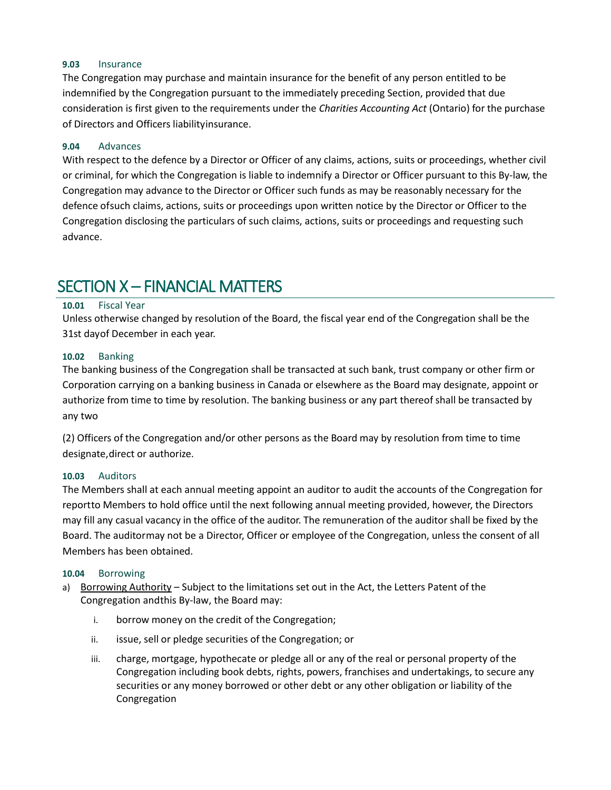#### <span id="page-23-0"></span>**9.03** Insurance

The Congregation may purchase and maintain insurance for the benefit of any person entitled to be indemnified by the Congregation pursuant to the immediately preceding Section, provided that due consideration is first given to the requirements under the *Charities Accounting Act* (Ontario) for the purchase of Directors and Officers liabilityinsurance.

#### <span id="page-23-1"></span>**9.04** Advances

With respect to the defence by a Director or Officer of any claims, actions, suits or proceedings, whether civil or criminal, for which the Congregation is liable to indemnify a Director or Officer pursuant to this By-law, the Congregation may advance to the Director or Officer such funds as may be reasonably necessary for the defence ofsuch claims, actions, suits or proceedings upon written notice by the Director or Officer to the Congregation disclosing the particulars of such claims, actions, suits or proceedings and requesting such advance.

# <span id="page-23-2"></span>SECTION X – FINANCIAL MATTERS

#### <span id="page-23-3"></span>**10.01** Fiscal Year

Unless otherwise changed by resolution of the Board, the fiscal year end of the Congregation shall be the 31st dayof December in each year.

#### <span id="page-23-4"></span>**10.02** Banking

The banking business of the Congregation shall be transacted at such bank, trust company or other firm or Corporation carrying on a banking business in Canada or elsewhere as the Board may designate, appoint or authorize from time to time by resolution. The banking business or any part thereof shall be transacted by any two

(2) Officers of the Congregation and/or other persons as the Board may by resolution from time to time designate,direct or authorize.

#### <span id="page-23-5"></span>**10.03** Auditors

The Members shall at each annual meeting appoint an auditor to audit the accounts of the Congregation for reportto Members to hold office until the next following annual meeting provided, however, the Directors may fill any casual vacancy in the office of the auditor. The remuneration of the auditor shall be fixed by the Board. The auditormay not be a Director, Officer or employee of the Congregation, unless the consent of all Members has been obtained.

#### <span id="page-23-6"></span>**10.04** Borrowing

- a) Borrowing Authority Subject to the limitations set out in the Act, the Letters Patent of the Congregation andthis By-law, the Board may:
	- i. borrow money on the credit of the Congregation;
	- ii. issue, sell or pledge securities of the Congregation; or
	- iii. charge, mortgage, hypothecate or pledge all or any of the real or personal property of the Congregation including book debts, rights, powers, franchises and undertakings, to secure any securities or any money borrowed or other debt or any other obligation or liability of the Congregation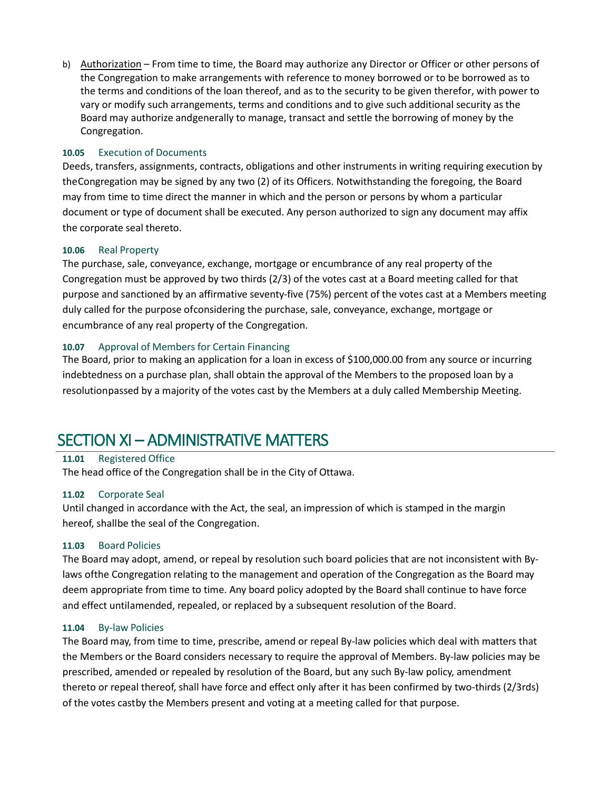b) Authorization - From time to time, the Board may authorize any Director or Officer or other persons of the Congregation to make arrangements with reference to money borrowed or to be borrowed as to the terms and conditions of the loan thereof, and as to the security to be given therefor, with power to vary or modify such arrangements, terms and conditions and to give such additional security as the Board may authorize andgenerally to manage, transact and settle the borrowing of money by the Congregation.

#### <span id="page-24-0"></span>**10.05** Execution of Documents

Deeds, transfers, assignments, contracts, obligations and other instruments in writing requiring execution by theCongregation may be signed by any two (2) of its Officers. Notwithstanding the foregoing, the Board may from time to time direct the manner in which and the person or persons by whom a particular document or type of document shall be executed. Any person authorized to sign any document may affix the corporate seal thereto.

#### <span id="page-24-1"></span>**10.06** Real Property

The purchase, sale, conveyance, exchange, mortgage or encumbrance of any real property of the Congregation must be approved by two thirds (2/3) of the votes cast at a Board meeting called for that purpose and sanctioned by an affirmative seventy-five (75%) percent of the votes cast at a Members meeting duly called for the purpose ofconsidering the purchase, sale, conveyance, exchange, mortgage or encumbrance of any real property of the Congregation.

#### <span id="page-24-2"></span>**10.07** Approval of Members for Certain Financing

The Board, prior to making an application for a loan in excess of \$100,000.00 from any source or incurring indebtedness on a purchase plan, shall obtain the approval of the Members to the proposed loan by a resolutionpassed by a majority of the votes cast by the Members at a duly called Membership Meeting.

# <span id="page-24-3"></span>SECTION XI – ADMINISTRATIVE MATTERS

### <span id="page-24-4"></span>**11.01** Registered Office

The head office of the Congregation shall be in the City of Ottawa.

#### <span id="page-24-5"></span>**11.02** Corporate Seal

Until changed in accordance with the Act, the seal, an impression of which is stamped in the margin hereof, shallbe the seal of the Congregation.

#### <span id="page-24-6"></span>**11.03** Board Policies

The Board may adopt, amend, or repeal by resolution such board policies that are not inconsistent with Bylaws ofthe Congregation relating to the management and operation of the Congregation as the Board may deem appropriate from time to time. Any board policy adopted by the Board shall continue to have force and effect untilamended, repealed, or replaced by a subsequent resolution of the Board.

#### <span id="page-24-7"></span>**11.04** By-law Policies

The Board may, from time to time, prescribe, amend or repeal By-law policies which deal with matters that the Members or the Board considers necessary to require the approval of Members. By-law policies may be prescribed, amended or repealed by resolution of the Board, but any such By-law policy, amendment thereto or repeal thereof, shall have force and effect only after it has been confirmed by two-thirds (2/3rds) of the votes castby the Members present and voting at a meeting called for that purpose.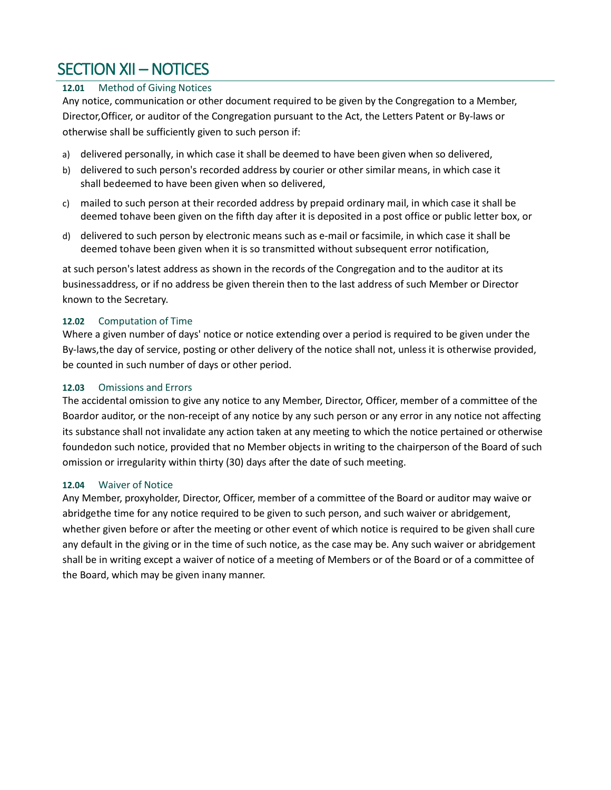# <span id="page-25-0"></span>SECTION XII – NOTICES

### <span id="page-25-1"></span>**12.01** Method of Giving Notices

Any notice, communication or other document required to be given by the Congregation to a Member, Director,Officer, or auditor of the Congregation pursuant to the Act, the Letters Patent or By-laws or otherwise shall be sufficiently given to such person if:

- a) delivered personally, in which case it shall be deemed to have been given when so delivered,
- b) delivered to such person's recorded address by courier or other similar means, in which case it shall bedeemed to have been given when so delivered,
- c) mailed to such person at their recorded address by prepaid ordinary mail, in which case it shall be deemed tohave been given on the fifth day after it is deposited in a post office or public letter box, or
- d) delivered to such person by electronic means such as e-mail or facsimile, in which case it shall be deemed tohave been given when it is so transmitted without subsequent error notification,

at such person's latest address as shown in the records of the Congregation and to the auditor at its businessaddress, or if no address be given therein then to the last address of such Member or Director known to the Secretary.

### <span id="page-25-2"></span>**12.02** Computation of Time

Where a given number of days' notice or notice extending over a period is required to be given under the By-laws,the day of service, posting or other delivery of the notice shall not, unless it is otherwise provided, be counted in such number of days or other period.

### <span id="page-25-3"></span>**12.03** Omissions and Errors

The accidental omission to give any notice to any Member, Director, Officer, member of a committee of the Boardor auditor, or the non-receipt of any notice by any such person or any error in any notice not affecting its substance shall not invalidate any action taken at any meeting to which the notice pertained or otherwise foundedon such notice, provided that no Member objects in writing to the chairperson of the Board of such omission or irregularity within thirty (30) days after the date of such meeting.

#### <span id="page-25-4"></span>**12.04** Waiver of Notice

Any Member, proxyholder, Director, Officer, member of a committee of the Board or auditor may waive or abridgethe time for any notice required to be given to such person, and such waiver or abridgement, whether given before or after the meeting or other event of which notice is required to be given shall cure any default in the giving or in the time of such notice, as the case may be. Any such waiver or abridgement shall be in writing except a waiver of notice of a meeting of Members or of the Board or of a committee of the Board, which may be given inany manner.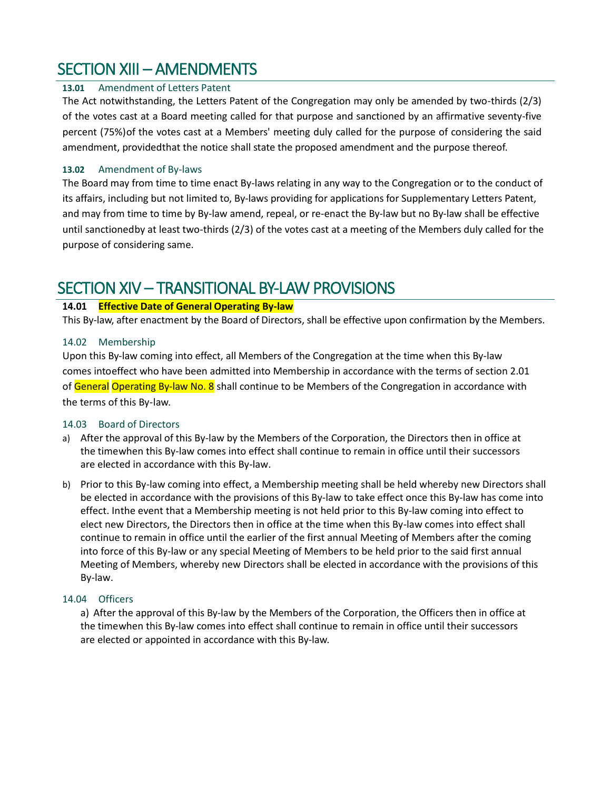# <span id="page-26-0"></span>SECTION XIII – AMENDMENTS

### <span id="page-26-1"></span>**13.01** Amendment of Letters Patent

The Act notwithstanding, the Letters Patent of the Congregation may only be amended by two-thirds (2/3) of the votes cast at a Board meeting called for that purpose and sanctioned by an affirmative seventy-five percent (75%)of the votes cast at a Members' meeting duly called for the purpose of considering the said amendment, providedthat the notice shall state the proposed amendment and the purpose thereof.

#### <span id="page-26-2"></span>**13.02** Amendment of By-laws

The Board may from time to time enact By-laws relating in any way to the Congregation or to the conduct of its affairs, including but not limited to, By-laws providing for applications for Supplementary Letters Patent, and may from time to time by By-law amend, repeal, or re-enact the By-law but no By-law shall be effective until sanctionedby at least two-thirds (2/3) of the votes cast at a meeting of the Members duly called for the purpose of considering same.

# <span id="page-26-3"></span>SECTION XIV – TRANSITIONAL BY-LAW PROVISIONS

### **14.01 Effective Date of General Operating By-law**

This By-law, after enactment by the Board of Directors, shall be effective upon confirmation by the Members.

#### <span id="page-26-4"></span>14.02 Membership

Upon this By-law coming into effect, all Members of the Congregation at the time when this By-law comes intoeffect who have been admitted into Membership in accordance with the terms of section 2.01 of General Operating By-law No. 8 shall continue to be Members of the Congregation in accordance with the terms of this By-law.

#### <span id="page-26-5"></span>14.03 Board of Directors

- a) After the approval of this By-law by the Members of the Corporation, the Directors then in office at the timewhen this By-law comes into effect shall continue to remain in office until their successors are elected in accordance with this By-law.
- b) Prior to this By-law coming into effect, a Membership meeting shall be held whereby new Directors shall be elected in accordance with the provisions of this By-law to take effect once this By-law has come into effect. Inthe event that a Membership meeting is not held prior to this By-law coming into effect to elect new Directors, the Directors then in office at the time when this By-law comes into effect shall continue to remain in office until the earlier of the first annual Meeting of Members after the coming into force of this By-law or any special Meeting of Members to be held prior to the said first annual Meeting of Members, whereby new Directors shall be elected in accordance with the provisions of this By-law.

#### <span id="page-26-6"></span>14.04 Officers

a) After the approval of this By-law by the Members of the Corporation, the Officers then in office at the timewhen this By-law comes into effect shall continue to remain in office until their successors are elected or appointed in accordance with this By-law.